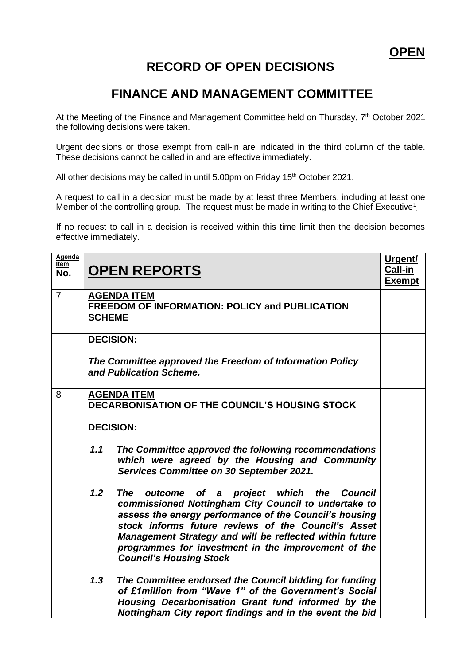## **RECORD OF OPEN DECISIONS**

## **FINANCE AND MANAGEMENT COMMITTEE**

At the Meeting of the Finance and Management Committee held on Thursday, 7<sup>th</sup> October 2021 the following decisions were taken.

Urgent decisions or those exempt from call-in are indicated in the third column of the table. These decisions cannot be called in and are effective immediately.

All other decisions may be called in until 5.00pm on Friday 15<sup>th</sup> October 2021.

A request to call in a decision must be made by at least three Members, including at least one Member of the controlling group. The request must be made in writing to the Chief Executive<sup>1</sup>.

If no request to call in a decision is received within this time limit then the decision becomes effective immediately.

| <b>Agenda</b><br><u>Item</u><br><u>No.</u> | <b>OPEN REPORTS</b>                                                                                                                                                                                                                                                                                                                                                            | Urgent/<br>Call-in<br><b>Exempt</b> |
|--------------------------------------------|--------------------------------------------------------------------------------------------------------------------------------------------------------------------------------------------------------------------------------------------------------------------------------------------------------------------------------------------------------------------------------|-------------------------------------|
| $\overline{7}$                             | <b>AGENDA ITEM</b><br><b>FREEDOM OF INFORMATION: POLICY and PUBLICATION</b><br><b>SCHEME</b>                                                                                                                                                                                                                                                                                   |                                     |
|                                            | <b>DECISION:</b><br>The Committee approved the Freedom of Information Policy<br>and Publication Scheme.                                                                                                                                                                                                                                                                        |                                     |
| 8                                          | <b>AGENDA ITEM</b><br>DECARBONISATION OF THE COUNCIL'S HOUSING STOCK                                                                                                                                                                                                                                                                                                           |                                     |
|                                            | <b>DECISION:</b>                                                                                                                                                                                                                                                                                                                                                               |                                     |
|                                            | 1.1<br>The Committee approved the following recommendations<br>which were agreed by the Housing and Community<br>Services Committee on 30 September 2021.                                                                                                                                                                                                                      |                                     |
|                                            | 1.2<br>The outcome of a project which the Council<br>commissioned Nottingham City Council to undertake to<br>assess the energy performance of the Council's housing<br>stock informs future reviews of the Council's Asset<br>Management Strategy and will be reflected within future<br>programmes for investment in the improvement of the<br><b>Council's Housing Stock</b> |                                     |
|                                            | 1.3<br>The Committee endorsed the Council bidding for funding<br>of £1million from "Wave 1" of the Government's Social<br>Housing Decarbonisation Grant fund informed by the<br>Nottingham City report findings and in the event the bid                                                                                                                                       |                                     |